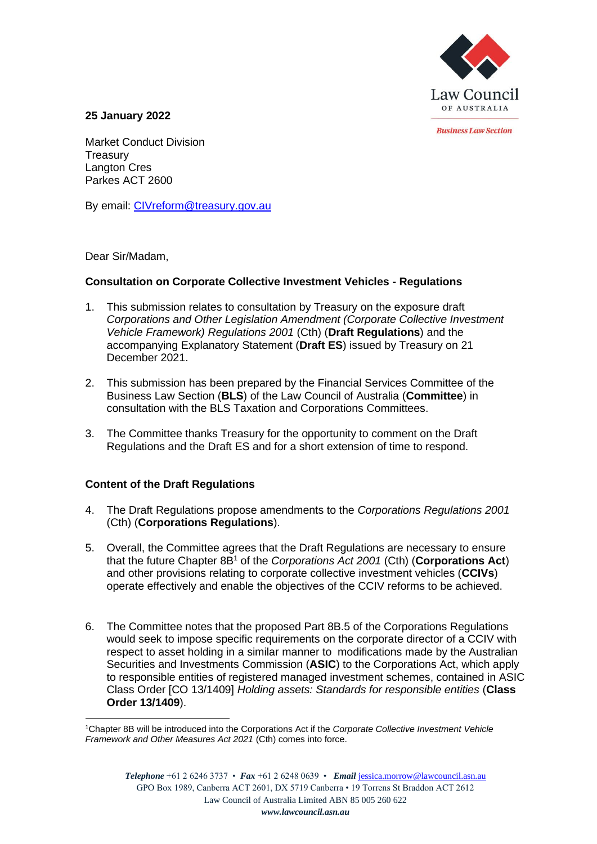

*<u>Rusiness Law Section</u>* 

**25 January 2022**

Market Conduct Division **Treasury** Langton Cres Parkes ACT 2600

By email: [CIVreform@treasury.gov.au](mailto:CIVreform@treasury.gov.au)

Dear Sir/Madam,

## **Consultation on Corporate Collective Investment Vehicles - Regulations**

- 1. This submission relates to consultation by Treasury on the exposure draft *Corporations and Other Legislation Amendment (Corporate Collective Investment Vehicle Framework) Regulations 2001* (Cth) (**Draft Regulations**) and the accompanying Explanatory Statement (**Draft ES**) issued by Treasury on 21 December 2021.
- 2. This submission has been prepared by the Financial Services Committee of the Business Law Section (**BLS**) of the Law Council of Australia (**Committee**) in consultation with the BLS Taxation and Corporations Committees.
- 3. The Committee thanks Treasury for the opportunity to comment on the Draft Regulations and the Draft ES and for a short extension of time to respond.

## **Content of the Draft Regulations**

- 4. The Draft Regulations propose amendments to the *Corporations Regulations 2001*  (Cth) (**Corporations Regulations**).
- 5. Overall, the Committee agrees that the Draft Regulations are necessary to ensure that the future Chapter 8B<sup>1</sup> of the *Corporations Act 2001* (Cth) (**Corporations Act**) and other provisions relating to corporate collective investment vehicles (**CCIVs**) operate effectively and enable the objectives of the CCIV reforms to be achieved.
- 6. The Committee notes that the proposed Part 8B.5 of the Corporations Regulations would seek to impose specific requirements on the corporate director of a CCIV with respect to asset holding in a similar manner to modifications made by the Australian Securities and Investments Commission (**ASIC**) to the Corporations Act, which apply to responsible entities of registered managed investment schemes, contained in ASIC Class Order [CO 13/1409] *Holding assets: Standards for responsible entities* (**Class Order 13/1409**).

<sup>1</sup>Chapter 8B will be introduced into the Corporations Act if the *Corporate Collective Investment Vehicle Framework and Other Measures Act 2021* (Cth) comes into force.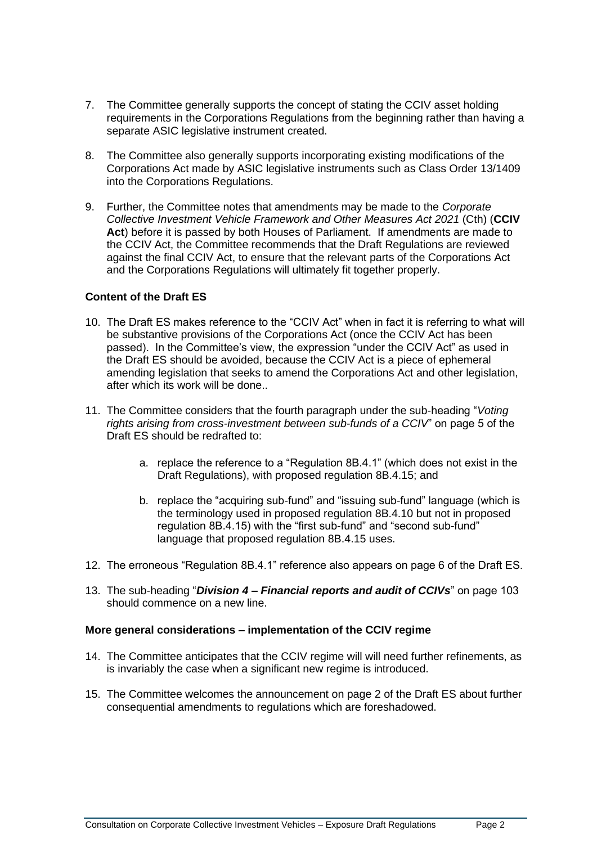- 7. The Committee generally supports the concept of stating the CCIV asset holding requirements in the Corporations Regulations from the beginning rather than having a separate ASIC legislative instrument created.
- 8. The Committee also generally supports incorporating existing modifications of the Corporations Act made by ASIC legislative instruments such as Class Order 13/1409 into the Corporations Regulations.
- 9. Further, the Committee notes that amendments may be made to the *Corporate Collective Investment Vehicle Framework and Other Measures Act 2021* (Cth) (**CCIV Act**) before it is passed by both Houses of Parliament. If amendments are made to the CCIV Act, the Committee recommends that the Draft Regulations are reviewed against the final CCIV Act, to ensure that the relevant parts of the Corporations Act and the Corporations Regulations will ultimately fit together properly.

## **Content of the Draft ES**

- 10. The Draft ES makes reference to the "CCIV Act" when in fact it is referring to what will be substantive provisions of the Corporations Act (once the CCIV Act has been passed). In the Committee's view, the expression "under the CCIV Act" as used in the Draft ES should be avoided, because the CCIV Act is a piece of ephemeral amending legislation that seeks to amend the Corporations Act and other legislation, after which its work will be done..
- 11. The Committee considers that the fourth paragraph under the sub-heading "*Voting rights arising from cross-investment between sub-funds of a CCIV*" on page 5 of the Draft ES should be redrafted to:
	- a. replace the reference to a "Regulation 8B.4.1" (which does not exist in the Draft Regulations), with proposed regulation 8B.4.15; and
	- b. replace the "acquiring sub-fund" and "issuing sub-fund" language (which is the terminology used in proposed regulation 8B.4.10 but not in proposed regulation 8B.4.15) with the "first sub-fund" and "second sub-fund" language that proposed regulation 8B.4.15 uses.
- 12. The erroneous "Regulation 8B.4.1" reference also appears on page 6 of the Draft ES.
- 13. The sub-heading "*Division 4 – Financial reports and audit of CCIVs*" on page 103 should commence on a new line.

## **More general considerations – implementation of the CCIV regime**

- 14. The Committee anticipates that the CCIV regime will will need further refinements, as is invariably the case when a significant new regime is introduced.
- 15. The Committee welcomes the announcement on page 2 of the Draft ES about further consequential amendments to regulations which are foreshadowed.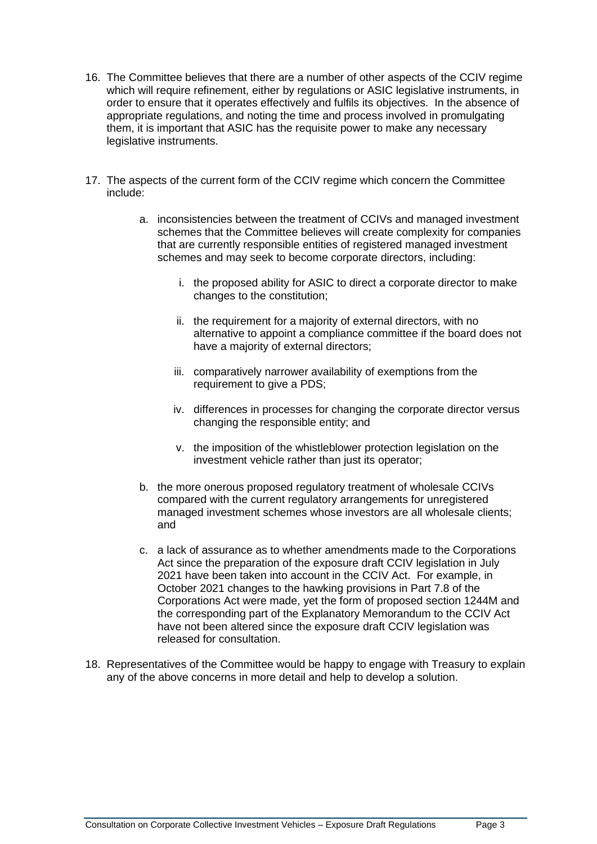- 16. The Committee believes that there are a number of other aspects of the CCIV regime which will require refinement, either by regulations or ASIC legislative instruments, in order to ensure that it operates effectively and fulfils its objectives. In the absence of appropriate regulations, and noting the time and process involved in promulgating them, it is important that ASIC has the requisite power to make any necessary legislative instruments.
- 17. The aspects of the current form of the CCIV regime which concern the Committee include:
	- a. inconsistencies between the treatment of CCIVs and managed investment schemes that the Committee believes will create complexity for companies that are currently responsible entities of registered managed investment schemes and may seek to become corporate directors, including:
		- i. the proposed ability for ASIC to direct a corporate director to make changes to the constitution;
		- ii. the requirement for a majority of external directors, with no alternative to appoint a compliance committee if the board does not have a majority of external directors;
		- iii. comparatively narrower availability of exemptions from the requirement to give a PDS:
		- iv. differences in processes for changing the corporate director versus changing the responsible entity; and
		- v. the imposition of the whistleblower protection legislation on the investment vehicle rather than just its operator;
	- b. the more onerous proposed regulatory treatment of wholesale CCIVs compared with the current regulatory arrangements for unregistered managed investment schemes whose investors are all wholesale clients; and
	- c. a lack of assurance as to whether amendments made to the Corporations Act since the preparation of the exposure draft CCIV legislation in July 2021 have been taken into account in the CCIV Act. For example, in October 2021 changes to the hawking provisions in Part 7.8 of the Corporations Act were made, yet the form of proposed section 1244M and the corresponding part of the Explanatory Memorandum to the CCIV Act have not been altered since the exposure draft CCIV legislation was released for consultation.
- 18. Representatives of the Committee would be happy to engage with Treasury to explain any of the above concerns in more detail and help to develop a solution.